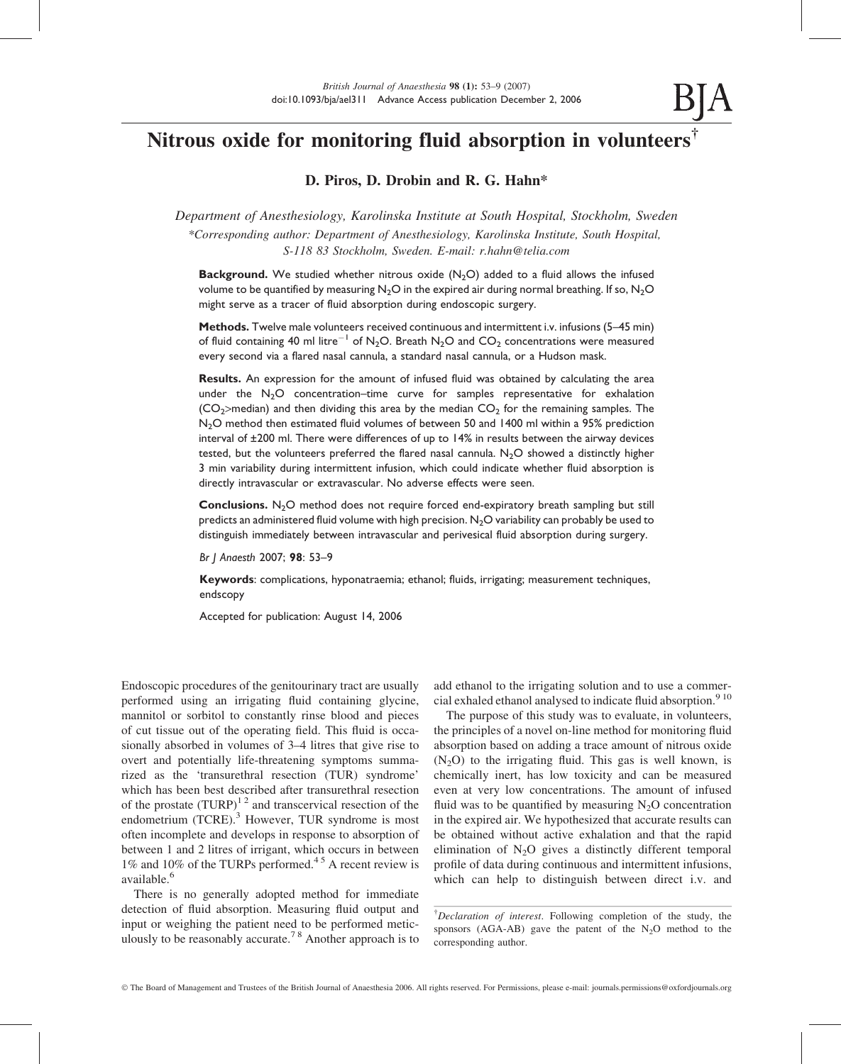# Nitrous oxide for monitoring fluid absorption in volunteers†

# D. Piros, D. Drobin and R. G. Hahn\*

Department of Anesthesiology, Karolinska Institute at South Hospital, Stockholm, Sweden \*Corresponding author: Department of Anesthesiology, Karolinska Institute, South Hospital, S-118 83 Stockholm, Sweden. E-mail: r.hahn@telia.com

**Background.** We studied whether nitrous oxide  $(N_2O)$  added to a fluid allows the infused volume to be quantified by measuring  $N<sub>2</sub>O$  in the expired air during normal breathing. If so,  $N<sub>2</sub>O$ might serve as a tracer of fluid absorption during endoscopic surgery.

Methods. Twelve male volunteers received continuous and intermittent i.v. infusions (5–45 min) of fluid containing 40 ml litre<sup>-1</sup> of N<sub>2</sub>O. Breath N<sub>2</sub>O and CO<sub>2</sub> concentrations were measured every second via a flared nasal cannula, a standard nasal cannula, or a Hudson mask.

Results. An expression for the amount of infused fluid was obtained by calculating the area under the  $N_2O$  concentration–time curve for samples representative for exhalation  $(CO<sub>2</sub>$ >median) and then dividing this area by the median  $CO<sub>2</sub>$  for the remaining samples. The N<sub>2</sub>O method then estimated fluid volumes of between 50 and 1400 ml within a 95% prediction interval of ±200 ml. There were differences of up to 14% in results between the airway devices tested, but the volunteers preferred the flared nasal cannula.  $N_2O$  showed a distinctly higher 3 min variability during intermittent infusion, which could indicate whether fluid absorption is directly intravascular or extravascular. No adverse effects were seen.

**Conclusions.** N<sub>2</sub>O method does not require forced end-expiratory breath sampling but still predicts an administered fluid volume with high precision.  $N_2O$  variability can probably be used to distinguish immediately between intravascular and perivesical fluid absorption during surgery.

Br J Anaesth 2007; 98: 53–9

Keywords: complications, hyponatraemia; ethanol; fluids, irrigating; measurement techniques, endscopy

Accepted for publication: August 14, 2006

Endoscopic procedures of the genitourinary tract are usually performed using an irrigating fluid containing glycine, mannitol or sorbitol to constantly rinse blood and pieces of cut tissue out of the operating field. This fluid is occasionally absorbed in volumes of 3–4 litres that give rise to overt and potentially life-threatening symptoms summarized as the 'transurethral resection (TUR) syndrome' which has been best described after transurethral resection of the prostate  $(TURP)^{12}$  and transcervical resection of the endometrium (TCRE).<sup>3</sup> However, TUR syndrome is most often incomplete and develops in response to absorption of between 1 and 2 litres of irrigant, which occurs in between 1% and 10% of the TURPs performed.<sup>45</sup> A recent review is available.<sup>6</sup>

There is no generally adopted method for immediate detection of fluid absorption. Measuring fluid output and input or weighing the patient need to be performed meticulously to be reasonably accurate.7 8 Another approach is to add ethanol to the irrigating solution and to use a commercial exhaled ethanol analysed to indicate fluid absorption.<sup>9 10</sup>

The purpose of this study was to evaluate, in volunteers, the principles of a novel on-line method for monitoring fluid absorption based on adding a trace amount of nitrous oxide  $(N_2O)$  to the irrigating fluid. This gas is well known, is chemically inert, has low toxicity and can be measured even at very low concentrations. The amount of infused fluid was to be quantified by measuring  $N_2O$  concentration in the expired air. We hypothesized that accurate results can be obtained without active exhalation and that the rapid elimination of  $N_2O$  gives a distinctly different temporal profile of data during continuous and intermittent infusions, which can help to distinguish between direct i.v. and

<sup>&</sup>lt;sup>†</sup>Declaration of interest. Following completion of the study, the sponsors (AGA-AB) gave the patent of the  $N_2O$  method to the corresponding author.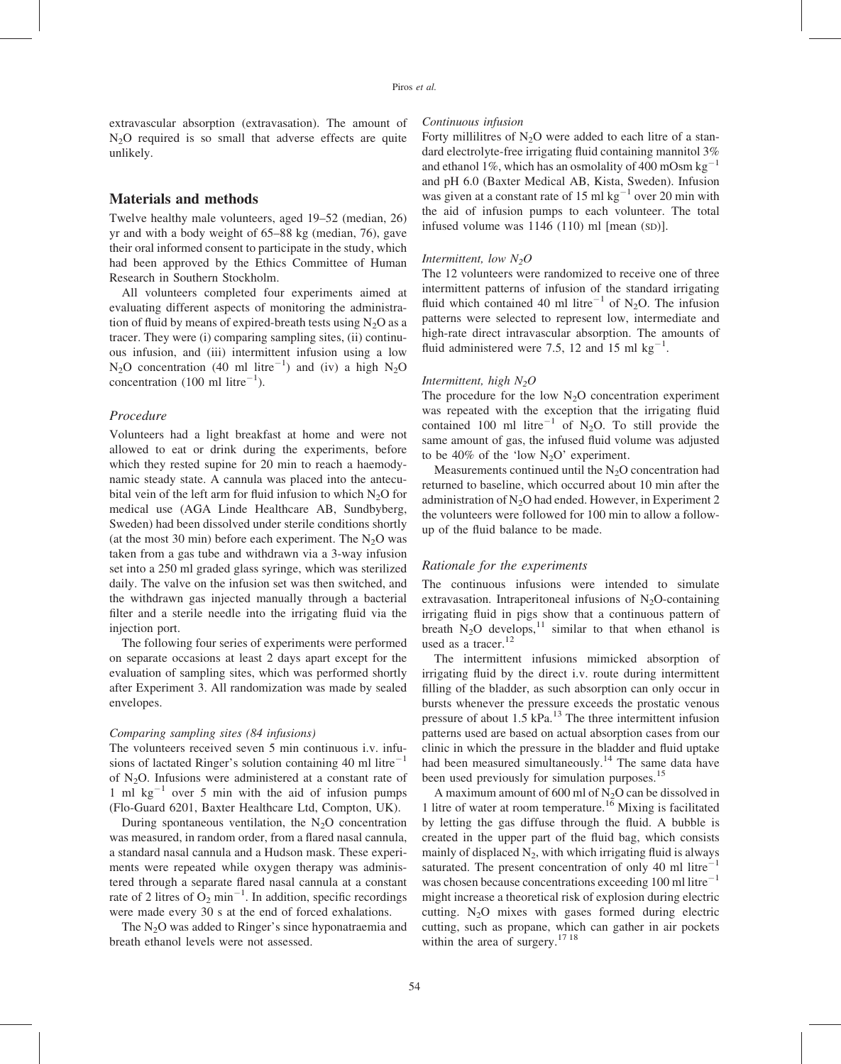extravascular absorption (extravasation). The amount of N2O required is so small that adverse effects are quite unlikely.

# Materials and methods

Twelve healthy male volunteers, aged 19–52 (median, 26) yr and with a body weight of 65–88 kg (median, 76), gave their oral informed consent to participate in the study, which had been approved by the Ethics Committee of Human Research in Southern Stockholm.

All volunteers completed four experiments aimed at evaluating different aspects of monitoring the administration of fluid by means of expired-breath tests using  $N_2O$  as a tracer. They were (i) comparing sampling sites, (ii) continuous infusion, and (iii) intermittent infusion using a low  $N_2O$  concentration (40 ml litre<sup>-1</sup>) and (iv) a high  $N_2O$ concentration (100 ml litre $^{-1}$ ).

#### Procedure

Volunteers had a light breakfast at home and were not allowed to eat or drink during the experiments, before which they rested supine for 20 min to reach a haemodynamic steady state. A cannula was placed into the antecubital vein of the left arm for fluid infusion to which  $N_2O$  for medical use (AGA Linde Healthcare AB, Sundbyberg, Sweden) had been dissolved under sterile conditions shortly (at the most 30 min) before each experiment. The  $N_2O$  was taken from a gas tube and withdrawn via a 3-way infusion set into a 250 ml graded glass syringe, which was sterilized daily. The valve on the infusion set was then switched, and the withdrawn gas injected manually through a bacterial filter and a sterile needle into the irrigating fluid via the injection port.

The following four series of experiments were performed on separate occasions at least 2 days apart except for the evaluation of sampling sites, which was performed shortly after Experiment 3. All randomization was made by sealed envelopes.

#### Comparing sampling sites (84 infusions)

The volunteers received seven 5 min continuous i.v. infusions of lactated Ringer's solution containing 40 ml litre<sup>-1</sup> of N2O. Infusions were administered at a constant rate of 1 ml  $kg^{-1}$  over 5 min with the aid of infusion pumps (Flo-Guard 6201, Baxter Healthcare Ltd, Compton, UK).

During spontaneous ventilation, the  $N_2O$  concentration was measured, in random order, from a flared nasal cannula, a standard nasal cannula and a Hudson mask. These experiments were repeated while oxygen therapy was administered through a separate flared nasal cannula at a constant rate of 2 litres of  $\overline{O}_2$  min<sup>-1</sup>. In addition, specific recordings were made every 30 s at the end of forced exhalations.

The  $N_2O$  was added to Ringer's since hyponatraemia and breath ethanol levels were not assessed.

#### Continuous infusion

Forty millilitres of  $N_2O$  were added to each litre of a standard electrolyte-free irrigating fluid containing mannitol 3% and ethanol 1%, which has an osmolality of 400 mOsm kg<sup>-1</sup> and pH 6.0 (Baxter Medical AB, Kista, Sweden). Infusion was given at a constant rate of 15 ml  $kg^{-1}$  over 20 min with the aid of infusion pumps to each volunteer. The total infused volume was 1146 (110) ml [mean (SD)].

#### Intermittent, low  $N_2O$

The 12 volunteers were randomized to receive one of three intermittent patterns of infusion of the standard irrigating fluid which contained 40 ml litre<sup>-1</sup> of N<sub>2</sub>O. The infusion patterns were selected to represent low, intermediate and high-rate direct intravascular absorption. The amounts of fluid administered were 7.5, 12 and 15 ml  $kg^{-1}$ .

#### Intermittent, high  $N_2O$

The procedure for the low  $N_2O$  concentration experiment was repeated with the exception that the irrigating fluid contained 100 ml litre<sup>-1</sup> of N<sub>2</sub>O. To still provide the same amount of gas, the infused fluid volume was adjusted to be 40% of the 'low  $N_2O'$  experiment.

Measurements continued until the  $N<sub>2</sub>O$  concentration had returned to baseline, which occurred about 10 min after the administration of  $N<sub>2</sub>O$  had ended. However, in Experiment 2 the volunteers were followed for 100 min to allow a followup of the fluid balance to be made.

# Rationale for the experiments

The continuous infusions were intended to simulate extravasation. Intraperitoneal infusions of  $N_2O$ -containing irrigating fluid in pigs show that a continuous pattern of breath  $N_2O$  develops,<sup>11</sup> similar to that when ethanol is used as a tracer. $12$ 

The intermittent infusions mimicked absorption of irrigating fluid by the direct i.v. route during intermittent filling of the bladder, as such absorption can only occur in bursts whenever the pressure exceeds the prostatic venous pressure of about 1.5  $kPa$ .<sup>13</sup> The three intermittent infusion patterns used are based on actual absorption cases from our clinic in which the pressure in the bladder and fluid uptake had been measured simultaneously.<sup>14</sup> The same data have been used previously for simulation purposes.<sup>15</sup>

A maximum amount of 600 ml of  $N_2O$  can be dissolved in 1 litre of water at room temperature.<sup>16</sup> Mixing is facilitated by letting the gas diffuse through the fluid. A bubble is created in the upper part of the fluid bag, which consists mainly of displaced  $N_2$ , with which irrigating fluid is always saturated. The present concentration of only 40 ml litre<sup>-1</sup> was chosen because concentrations exceeding 100 ml litre $^{-1}$ might increase a theoretical risk of explosion during electric cutting.  $N_2O$  mixes with gases formed during electric cutting, such as propane, which can gather in air pockets within the area of surgery.<sup>17 18</sup>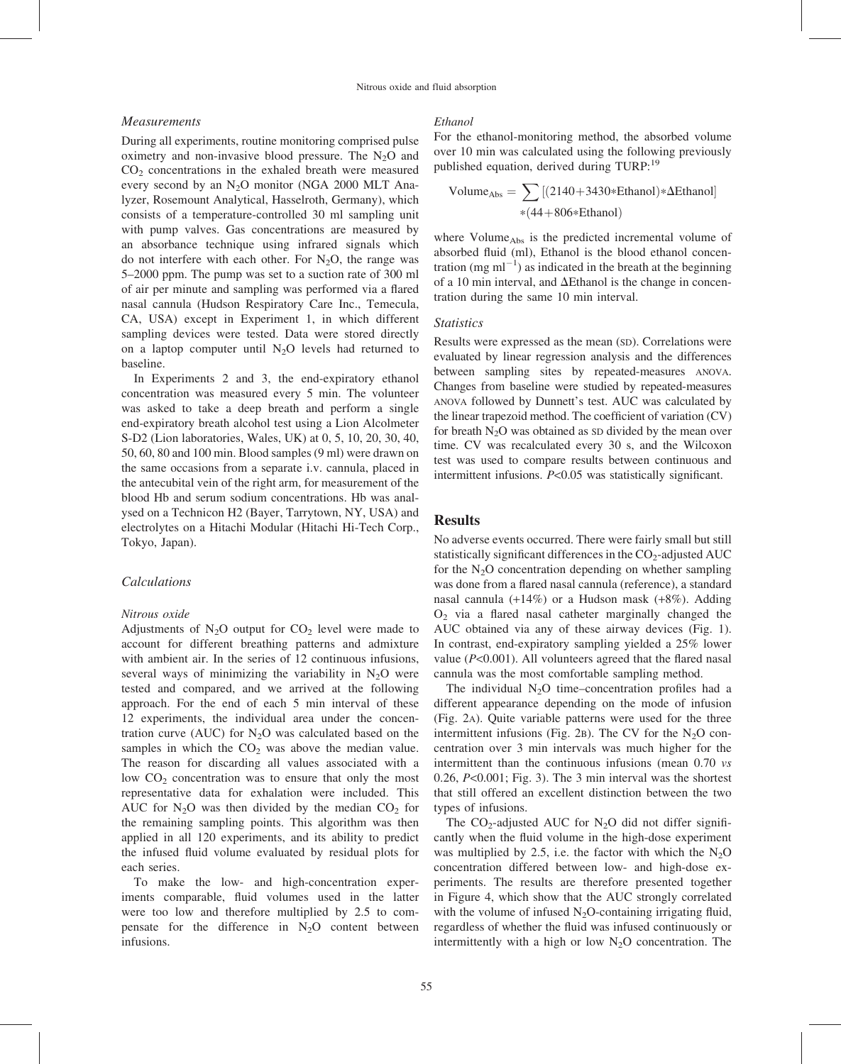#### Measurements

During all experiments, routine monitoring comprised pulse oximetry and non-invasive blood pressure. The N<sub>2</sub>O and CO2 concentrations in the exhaled breath were measured every second by an  $N_2O$  monitor (NGA 2000 MLT Analyzer, Rosemount Analytical, Hasselroth, Germany), which consists of a temperature-controlled 30 ml sampling unit with pump valves. Gas concentrations are measured by an absorbance technique using infrared signals which do not interfere with each other. For  $N_2O$ , the range was 5–2000 ppm. The pump was set to a suction rate of 300 ml of air per minute and sampling was performed via a flared nasal cannula (Hudson Respiratory Care Inc., Temecula, CA, USA) except in Experiment 1, in which different sampling devices were tested. Data were stored directly on a laptop computer until  $N_2O$  levels had returned to baseline.

In Experiments 2 and 3, the end-expiratory ethanol concentration was measured every 5 min. The volunteer was asked to take a deep breath and perform a single end-expiratory breath alcohol test using a Lion Alcolmeter S-D2 (Lion laboratories, Wales, UK) at 0, 5, 10, 20, 30, 40, 50, 60, 80 and 100 min. Blood samples (9 ml) were drawn on the same occasions from a separate i.v. cannula, placed in the antecubital vein of the right arm, for measurement of the blood Hb and serum sodium concentrations. Hb was analysed on a Technicon H2 (Bayer, Tarrytown, NY, USA) and electrolytes on a Hitachi Modular (Hitachi Hi-Tech Corp., Tokyo, Japan).

# Calculations

#### Nitrous oxide

Adjustments of  $N_2O$  output for  $CO_2$  level were made to account for different breathing patterns and admixture with ambient air. In the series of 12 continuous infusions, several ways of minimizing the variability in  $N_2O$  were tested and compared, and we arrived at the following approach. For the end of each 5 min interval of these 12 experiments, the individual area under the concentration curve (AUC) for  $N_2O$  was calculated based on the samples in which the  $CO<sub>2</sub>$  was above the median value. The reason for discarding all values associated with a low  $CO<sub>2</sub>$  concentration was to ensure that only the most representative data for exhalation were included. This AUC for  $N_2O$  was then divided by the median  $CO_2$  for the remaining sampling points. This algorithm was then applied in all 120 experiments, and its ability to predict the infused fluid volume evaluated by residual plots for each series.

To make the low- and high-concentration experiments comparable, fluid volumes used in the latter were too low and therefore multiplied by 2.5 to compensate for the difference in  $N_2O$  content between infusions.

#### Ethanol

For the ethanol-monitoring method, the absorbed volume over 10 min was calculated using the following previously published equation, derived during TURP:<sup>19</sup>

Volume<sub>Abs</sub> = 
$$
\sum_{*(44+806*Ethanol)*\Delta Ethanol}
$$

where  $Volume<sub>Abs</sub>$  is the predicted incremental volume of absorbed fluid (ml), Ethanol is the blood ethanol concentration (mg m $l^{-1}$ ) as indicated in the breath at the beginning of a 10 min interval, and  $\Delta$ Ethanol is the change in concentration during the same 10 min interval.

#### **Statistics**

Results were expressed as the mean (SD). Correlations were evaluated by linear regression analysis and the differences between sampling sites by repeated-measures ANOVA. Changes from baseline were studied by repeated-measures ANOVA followed by Dunnett's test. AUC was calculated by the linear trapezoid method. The coefficient of variation (CV) for breath  $N_2O$  was obtained as SD divided by the mean over time. CV was recalculated every 30 s, and the Wilcoxon test was used to compare results between continuous and intermittent infusions. P<0.05 was statistically significant.

#### Results

No adverse events occurred. There were fairly small but still statistically significant differences in the  $CO<sub>2</sub>$ -adjusted AUC for the  $N_2O$  concentration depending on whether sampling was done from a flared nasal cannula (reference), a standard nasal cannula  $(+14\%)$  or a Hudson mask  $(+8\%)$ . Adding O2 via a flared nasal catheter marginally changed the AUC obtained via any of these airway devices (Fig. 1). In contrast, end-expiratory sampling yielded a 25% lower value  $(P<0.001)$ . All volunteers agreed that the flared nasal cannula was the most comfortable sampling method.

The individual  $N<sub>2</sub>O$  time–concentration profiles had a different appearance depending on the mode of infusion (Fig. 2A). Quite variable patterns were used for the three intermittent infusions (Fig. 2B). The CV for the  $N_2O$  concentration over 3 min intervals was much higher for the intermittent than the continuous infusions (mean 0.70 *vs* 0.26, P<0.001; Fig. 3). The 3 min interval was the shortest that still offered an excellent distinction between the two types of infusions.

The  $CO_2$ -adjusted AUC for N<sub>2</sub>O did not differ significantly when the fluid volume in the high-dose experiment was multiplied by 2.5, i.e. the factor with which the  $N_2O$ concentration differed between low- and high-dose experiments. The results are therefore presented together in Figure 4, which show that the AUC strongly correlated with the volume of infused  $N_2O$ -containing irrigating fluid, regardless of whether the fluid was infused continuously or intermittently with a high or low  $N_2O$  concentration. The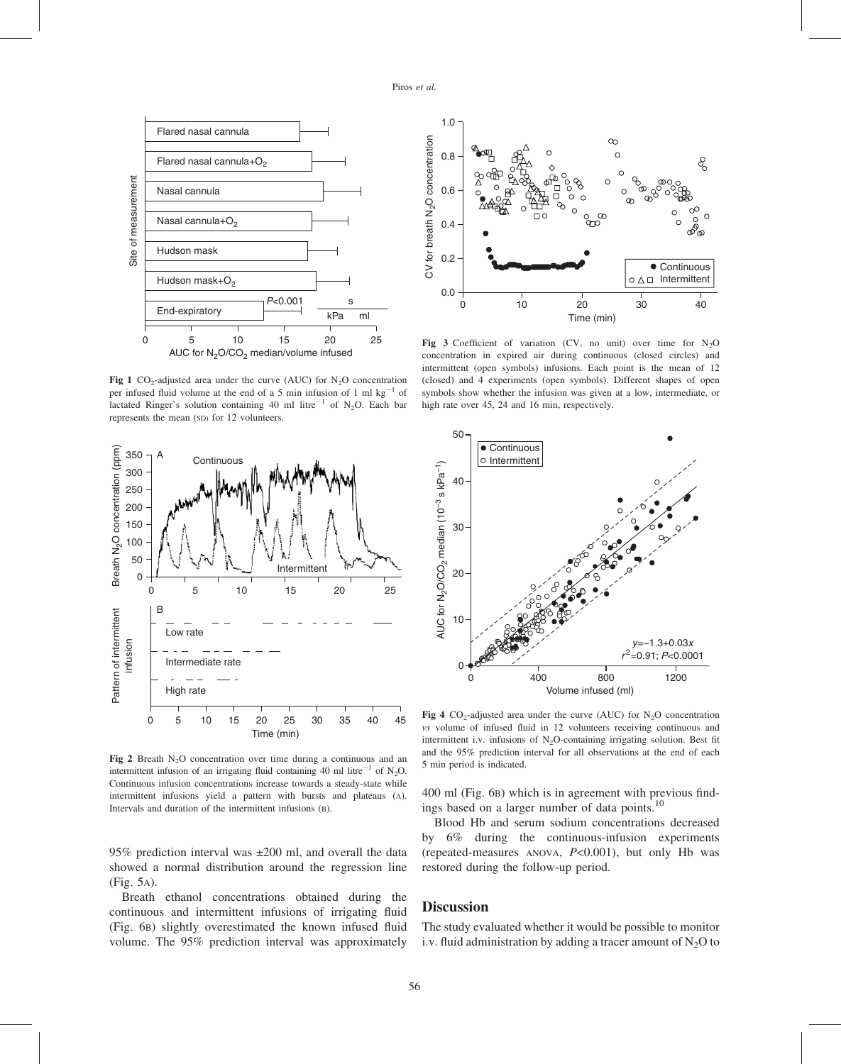

Fig 1 CO<sub>2</sub>-adjusted area under the curve (AUC) for N<sub>2</sub>O concentration per infused fluid volume at the end of a 5 min infusion of 1 ml  $kg^{-1}$  of lactated Ringer's solution containing 40 ml litre<sup>-1</sup> of N<sub>2</sub>O. Each bar represents the mean (SD) for 12 volunteers.



Fig 2 Breath N<sub>2</sub>O concentration over time during a continuous and an intermittent infusion of an irrigating fluid containing 40 ml litre<sup>-1</sup> of N<sub>2</sub>O. Continuous infusion concentrations increase towards a steady-state while intermittent infusions yield a pattern with bursts and plateaus (A). Intervals and duration of the intermittent infusions (B).

95% prediction interval was ±200 ml, and overall the data showed a normal distribution around the regression line (Fig. 5A).

Breath ethanol concentrations obtained during the continuous and intermittent infusions of irrigating fluid (Fig. 6B) slightly overestimated the known infused fluid volume. The 95% prediction interval was approximately



Fig 3 Coefficient of variation (CV, no unit) over time for  $N_2O$ concentration in expired air during continuous (closed circles) and intermittent (open symbols) infusions. Each point is the mean of 12 (closed) and 4 experiments (open symbols). Different shapes of open symbols show whether the infusion was given at a low, intermediate, or high rate over 45, 24 and 16 min, respectively.



Fig 4 CO<sub>2</sub>-adjusted area under the curve (AUC) for N<sub>2</sub>O concentration vs volume of infused fluid in 12 volunteers receiving continuous and intermittent i.v. infusions of  $N_2O$ -containing irrigating solution. Best fit and the 95% prediction interval for all observations at the end of each 5 min period is indicated.

400 ml (Fig. 6B) which is in agreement with previous findings based on a larger number of data points.<sup>10</sup>

Blood Hb and serum sodium concentrations decreased by 6% during the continuous-infusion experiments (repeated-measures ANOVA,  $P<0.001$ ), but only Hb was restored during the follow-up period.

# **Discussion**

The study evaluated whether it would be possible to monitor i.v. fluid administration by adding a tracer amount of  $N_2O$  to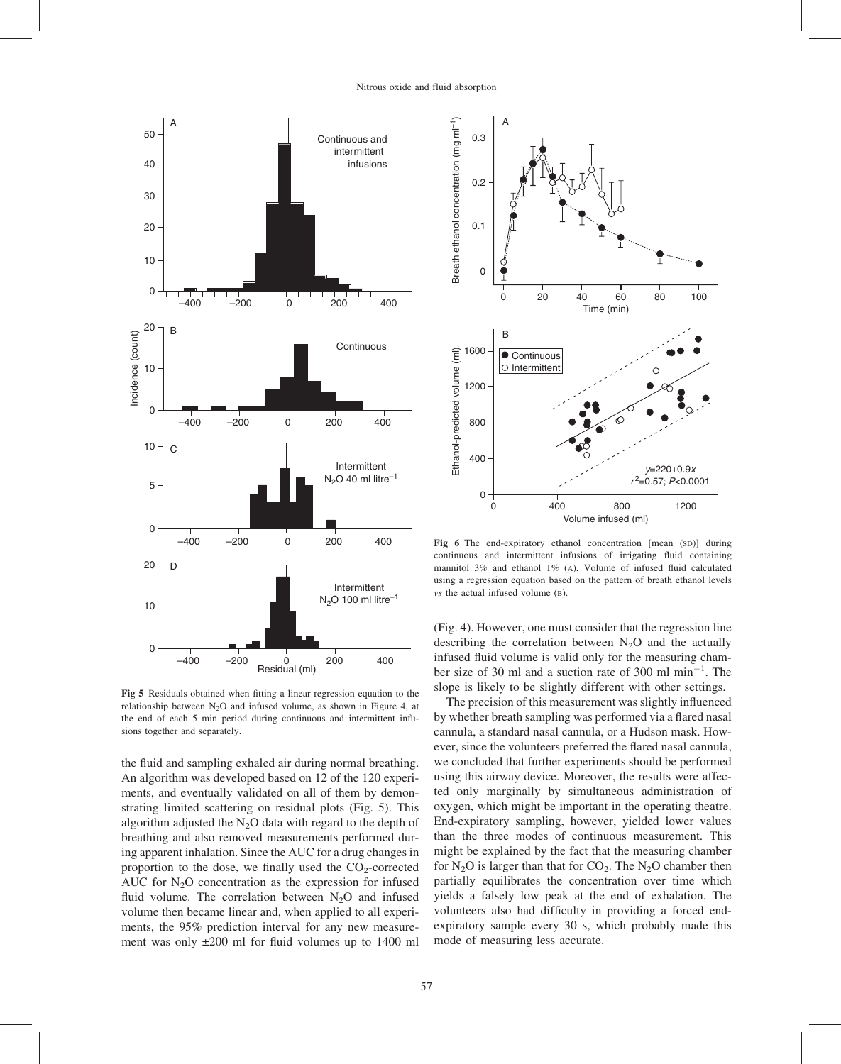

Fig 5 Residuals obtained when fitting a linear regression equation to the relationship between  $N_2O$  and infused volume, as shown in Figure 4, at the end of each 5 min period during continuous and intermittent infusions together and separately.

the fluid and sampling exhaled air during normal breathing. An algorithm was developed based on 12 of the 120 experiments, and eventually validated on all of them by demonstrating limited scattering on residual plots (Fig. 5). This algorithm adjusted the  $N_2O$  data with regard to the depth of breathing and also removed measurements performed during apparent inhalation. Since the AUC for a drug changes in proportion to the dose, we finally used the  $CO_2$ -corrected AUC for  $N_2O$  concentration as the expression for infused fluid volume. The correlation between  $N_2O$  and infused volume then became linear and, when applied to all experiments, the 95% prediction interval for any new measurement was only ±200 ml for fluid volumes up to 1400 ml



Fig 6 The end-expiratory ethanol concentration [mean (SD)] during continuous and intermittent infusions of irrigating fluid containing mannitol 3% and ethanol 1% (A). Volume of infused fluid calculated using a regression equation based on the pattern of breath ethanol levels vs the actual infused volume (B).

(Fig. 4). However, one must consider that the regression line describing the correlation between  $N_2O$  and the actually infused fluid volume is valid only for the measuring chamber size of 30 ml and a suction rate of 300 ml  $min^{-1}$ . The slope is likely to be slightly different with other settings.

The precision of this measurement was slightly influenced by whether breath sampling was performed via a flared nasal cannula, a standard nasal cannula, or a Hudson mask. However, since the volunteers preferred the flared nasal cannula, we concluded that further experiments should be performed using this airway device. Moreover, the results were affected only marginally by simultaneous administration of oxygen, which might be important in the operating theatre. End-expiratory sampling, however, yielded lower values than the three modes of continuous measurement. This might be explained by the fact that the measuring chamber for  $N_2O$  is larger than that for  $CO_2$ . The  $N_2O$  chamber then partially equilibrates the concentration over time which yields a falsely low peak at the end of exhalation. The volunteers also had difficulty in providing a forced endexpiratory sample every 30 s, which probably made this mode of measuring less accurate.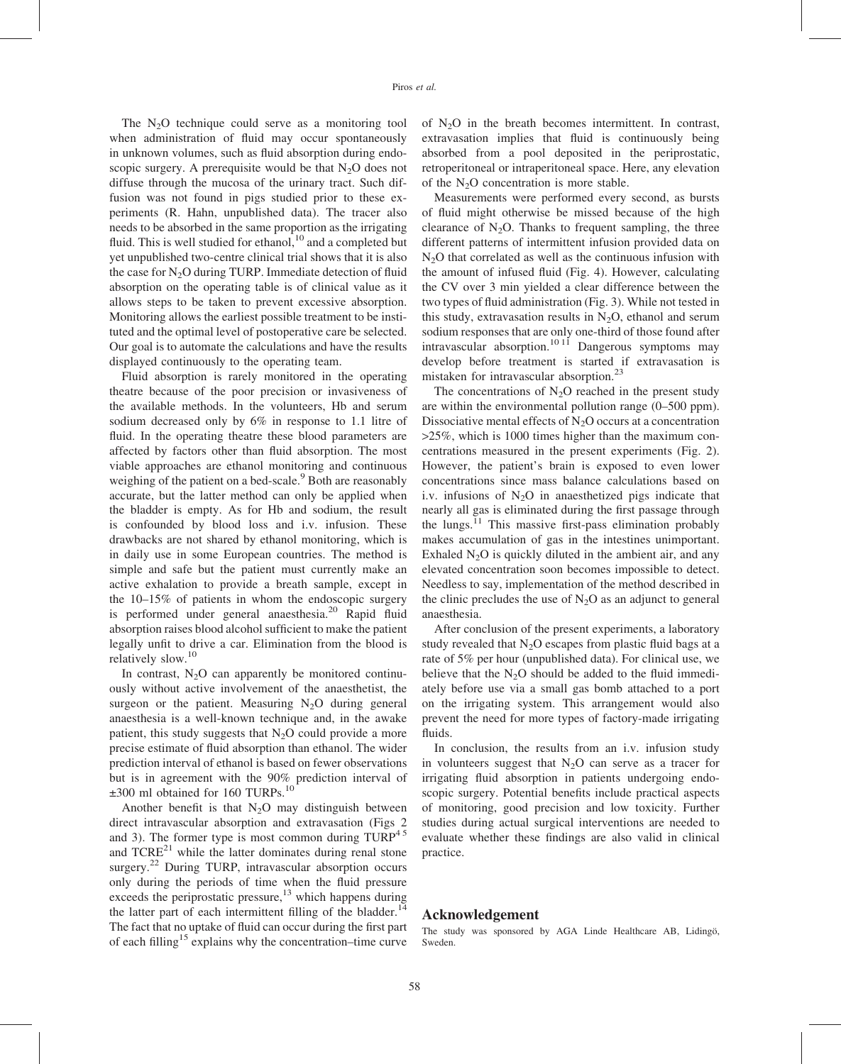The  $N<sub>2</sub>O$  technique could serve as a monitoring tool when administration of fluid may occur spontaneously in unknown volumes, such as fluid absorption during endoscopic surgery. A prerequisite would be that  $N_2O$  does not diffuse through the mucosa of the urinary tract. Such diffusion was not found in pigs studied prior to these experiments (R. Hahn, unpublished data). The tracer also needs to be absorbed in the same proportion as the irrigating fluid. This is well studied for ethanol,  $10$  and a completed but yet unpublished two-centre clinical trial shows that it is also the case for  $N<sub>2</sub>O$  during TURP. Immediate detection of fluid absorption on the operating table is of clinical value as it allows steps to be taken to prevent excessive absorption. Monitoring allows the earliest possible treatment to be instituted and the optimal level of postoperative care be selected. Our goal is to automate the calculations and have the results displayed continuously to the operating team.

Fluid absorption is rarely monitored in the operating theatre because of the poor precision or invasiveness of the available methods. In the volunteers, Hb and serum sodium decreased only by 6% in response to 1.1 litre of fluid. In the operating theatre these blood parameters are affected by factors other than fluid absorption. The most viable approaches are ethanol monitoring and continuous weighing of the patient on a bed-scale.<sup>9</sup> Both are reasonably accurate, but the latter method can only be applied when the bladder is empty. As for Hb and sodium, the result is confounded by blood loss and i.v. infusion. These drawbacks are not shared by ethanol monitoring, which is in daily use in some European countries. The method is simple and safe but the patient must currently make an active exhalation to provide a breath sample, except in the 10–15% of patients in whom the endoscopic surgery is performed under general anaesthesia.<sup>20</sup> Rapid fluid absorption raises blood alcohol sufficient to make the patient legally unfit to drive a car. Elimination from the blood is relatively slow.<sup>10</sup>

In contrast,  $N_2O$  can apparently be monitored continuously without active involvement of the anaesthetist, the surgeon or the patient. Measuring  $N_2O$  during general anaesthesia is a well-known technique and, in the awake patient, this study suggests that  $N_2O$  could provide a more precise estimate of fluid absorption than ethanol. The wider prediction interval of ethanol is based on fewer observations but is in agreement with the 90% prediction interval of  $\pm 300$  ml obtained for 160 TURPs.<sup>10</sup>

Another benefit is that  $N_2O$  may distinguish between direct intravascular absorption and extravasation (Figs 2 and 3). The former type is most common during  $TURP<sup>45</sup>$ and  $TCRE<sup>21</sup>$  while the latter dominates during renal stone surgery.<sup>22</sup> During TURP, intravascular absorption occurs only during the periods of time when the fluid pressure exceeds the periprostatic pressure,  $^{13}$  which happens during the latter part of each intermittent filling of the bladder.<sup>14</sup> The fact that no uptake of fluid can occur during the first part of each filling<sup>15</sup> explains why the concentration–time curve of  $N<sub>2</sub>O$  in the breath becomes intermittent. In contrast, extravasation implies that fluid is continuously being absorbed from a pool deposited in the periprostatic, retroperitoneal or intraperitoneal space. Here, any elevation of the  $N<sub>2</sub>O$  concentration is more stable.

Measurements were performed every second, as bursts of fluid might otherwise be missed because of the high clearance of  $N_2O$ . Thanks to frequent sampling, the three different patterns of intermittent infusion provided data on N2O that correlated as well as the continuous infusion with the amount of infused fluid (Fig. 4). However, calculating the CV over 3 min yielded a clear difference between the two types of fluid administration (Fig. 3). While not tested in this study, extravasation results in  $N<sub>2</sub>O$ , ethanol and serum sodium responses that are only one-third of those found after intravascular absorption.<sup>10 11</sup> Dangerous symptoms may develop before treatment is started if extravasation is mistaken for intravascular absorption.<sup>23</sup>

The concentrations of  $N_2O$  reached in the present study are within the environmental pollution range (0–500 ppm). Dissociative mental effects of  $N_2O$  occurs at a concentration >25%, which is 1000 times higher than the maximum concentrations measured in the present experiments (Fig. 2). However, the patient's brain is exposed to even lower concentrations since mass balance calculations based on i.v. infusions of  $N_2O$  in anaesthetized pigs indicate that nearly all gas is eliminated during the first passage through the lungs. $^{11}$  This massive first-pass elimination probably makes accumulation of gas in the intestines unimportant. Exhaled  $N<sub>2</sub>O$  is quickly diluted in the ambient air, and any elevated concentration soon becomes impossible to detect. Needless to say, implementation of the method described in the clinic precludes the use of  $N_2O$  as an adjunct to general anaesthesia.

After conclusion of the present experiments, a laboratory study revealed that  $N_2O$  escapes from plastic fluid bags at a rate of 5% per hour (unpublished data). For clinical use, we believe that the  $N_2O$  should be added to the fluid immediately before use via a small gas bomb attached to a port on the irrigating system. This arrangement would also prevent the need for more types of factory-made irrigating fluids.

In conclusion, the results from an i.v. infusion study in volunteers suggest that  $N_2O$  can serve as a tracer for irrigating fluid absorption in patients undergoing endoscopic surgery. Potential benefits include practical aspects of monitoring, good precision and low toxicity. Further studies during actual surgical interventions are needed to evaluate whether these findings are also valid in clinical practice.

#### Acknowledgement

The study was sponsored by AGA Linde Healthcare AB, Lidingö, Sweden.